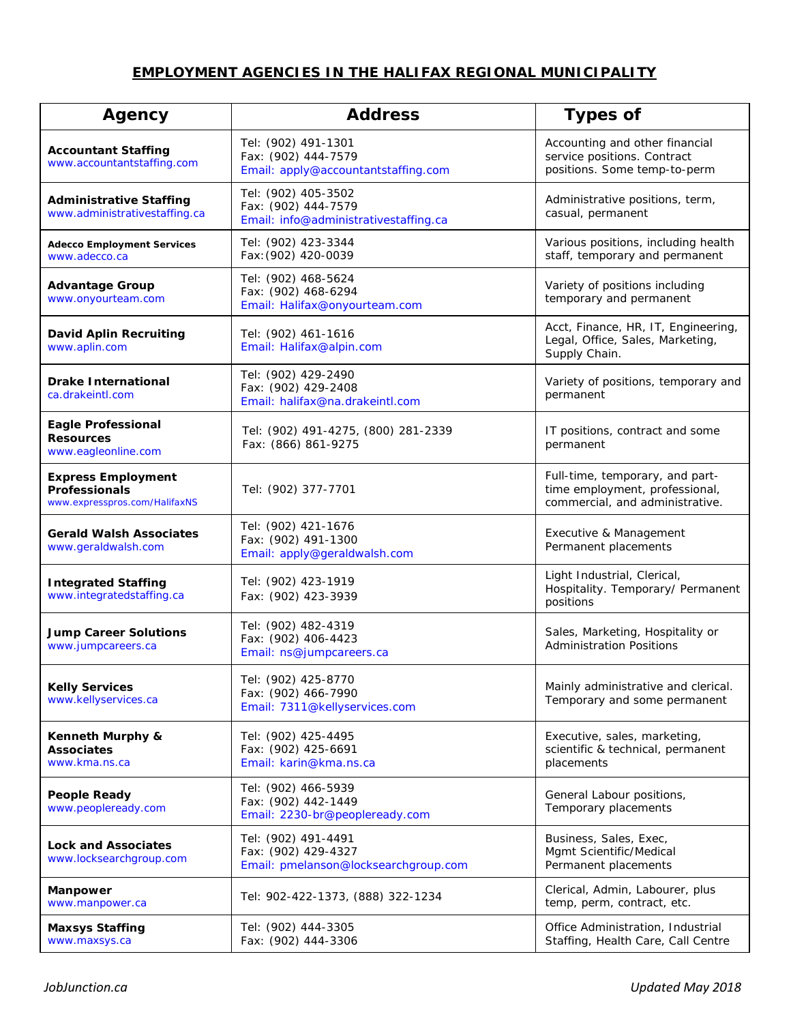## **EMPLOYMENT AGENCIES IN THE HALIFAX REGIONAL MUNICIPALITY**

| Agency                                                                             | <b>Address</b>                                                                      | <b>Types of</b>                                                                                      |
|------------------------------------------------------------------------------------|-------------------------------------------------------------------------------------|------------------------------------------------------------------------------------------------------|
| <b>Accountant Staffing</b><br>www.accountantstaffing.com                           | Tel: (902) 491-1301<br>Fax: (902) 444-7579<br>Email: apply@accountantstaffing.com   | Accounting and other financial<br>service positions. Contract<br>positions. Some temp-to-perm        |
| <b>Administrative Staffing</b><br>www.administrativestaffing.ca                    | Tel: (902) 405-3502<br>Fax: (902) 444-7579<br>Email: info@administrativestaffing.ca | Administrative positions, term,<br>casual, permanent                                                 |
| <b>Adecco Employment Services</b><br>www.adecco.ca                                 | Tel: (902) 423-3344<br>Fax: (902) 420-0039                                          | Various positions, including health<br>staff, temporary and permanent                                |
| <b>Advantage Group</b><br>www.onyourteam.com                                       | Tel: (902) 468-5624<br>Fax: (902) 468-6294<br>Email: Halifax@onyourteam.com         | Variety of positions including<br>temporary and permanent                                            |
| <b>David Aplin Recruiting</b><br>www.aplin.com                                     | Tel: (902) 461-1616<br>Email: Halifax@alpin.com                                     | Acct, Finance, HR, IT, Engineering,<br>Legal, Office, Sales, Marketing,<br>Supply Chain.             |
| <b>Drake International</b><br>ca.drakeintl.com                                     | Tel: (902) 429-2490<br>Fax: (902) 429-2408<br>Email: halifax@na.drakeintl.com       | Variety of positions, temporary and<br>permanent                                                     |
| <b>Eagle Professional</b><br><b>Resources</b><br>www.eagleonline.com               | Tel: (902) 491-4275, (800) 281-2339<br>Fax: (866) 861-9275                          | IT positions, contract and some<br>permanent                                                         |
| <b>Express Employment</b><br><b>Professionals</b><br>www.expresspros.com/HalifaxNS | Tel: (902) 377-7701                                                                 | Full-time, temporary, and part-<br>time employment, professional,<br>commercial, and administrative. |
| <b>Gerald Walsh Associates</b><br>www.geraldwalsh.com                              | Tel: (902) 421-1676<br>Fax: (902) 491-1300<br>Email: apply@geraldwalsh.com          | Executive & Management<br>Permanent placements                                                       |
| <b>Integrated Staffing</b><br>www.integratedstaffing.ca                            | Tel: (902) 423-1919<br>Fax: (902) 423-3939                                          | Light Industrial, Clerical,<br>Hospitality. Temporary/ Permanent<br>positions                        |
| <b>Jump Career Solutions</b><br>www.jumpcareers.ca                                 | Tel: (902) 482-4319<br>Fax: (902) 406-4423<br>Email: ns@jumpcareers.ca              | Sales, Marketing, Hospitality or<br><b>Administration Positions</b>                                  |
| <b>Kelly Services</b><br>www.kellyservices.ca                                      | Tel: (902) 425-8770<br>Fax: (902) 466-7990<br>Email: 7311@kellyservices.com         | Mainly administrative and clerical.<br>Temporary and some permanent                                  |
| Kenneth Murphy &<br><b>Associates</b><br>www.kma.ns.ca                             | Tel: (902) 425-4495<br>Fax: (902) 425-6691<br>Email: karin@kma.ns.ca                | Executive, sales, marketing,<br>scientific & technical, permanent<br>placements                      |
| <b>People Ready</b><br>www.peopleready.com                                         | Tel: (902) 466-5939<br>Fax: (902) 442-1449<br>Email: 2230-br@peopleready.com        | General Labour positions,<br>Temporary placements                                                    |
| <b>Lock and Associates</b><br>www.locksearchgroup.com                              | Tel: (902) 491-4491<br>Fax: (902) 429-4327<br>Email: pmelanson@locksearchgroup.com  | Business, Sales, Exec,<br>Mgmt Scientific/Medical<br>Permanent placements                            |
| Manpower<br>www.manpower.ca                                                        | Tel: 902-422-1373, (888) 322-1234                                                   | Clerical, Admin, Labourer, plus<br>temp, perm, contract, etc.                                        |
| <b>Maxsys Staffing</b><br>www.maxsys.ca                                            | Tel: (902) 444-3305<br>Fax: (902) 444-3306                                          | Office Administration, Industrial<br>Staffing, Health Care, Call Centre                              |